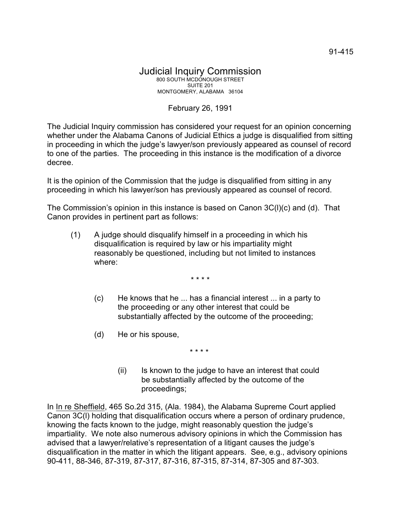## February 26, 1991

The Judicial Inquiry commission has considered your request for an opinion concerning whether under the Alabama Canons of Judicial Ethics a judge is disqualified from sitting in proceeding in which the judge's lawyer/son previously appeared as counsel of record to one of the parties. The proceeding in this instance is the modification of a divorce decree.

It is the opinion of the Commission that the judge is disqualified from sitting in any proceeding in which his lawyer/son has previously appeared as counsel of record.

The Commission's opinion in this instance is based on Canon 3C(l)(c) and (d). That Canon provides in pertinent part as follows:

(1) A judge should disqualify himself in a proceeding in which his disqualification is required by law or his impartiality might reasonably be questioned, including but not limited to instances where:

\* \* \* \*

- (c) He knows that he ... has a financial interest ... in a party to the proceeding or any other interest that could be substantially affected by the outcome of the proceeding;
- (d) He or his spouse,

\* \* \* \*

(ii) Is known to the judge to have an interest that could be substantially affected by the outcome of the proceedings;

In In re Sheffield, 465 So.2d 315, (Ala. 1984), the Alabama Supreme Court applied Canon 3C(l) holding that disqualification occurs where a person of ordinary prudence, knowing the facts known to the judge, might reasonably question the judge's impartiality. We note also numerous advisory opinions in which the Commission has advised that a lawyer/relative's representation of a litigant causes the judge's disqualification in the matter in which the litigant appears. See, e.g., advisory opinions 90-411, 88-346, 87-319, 87-317, 87-316, 87-315, 87-314, 87-305 and 87-303.